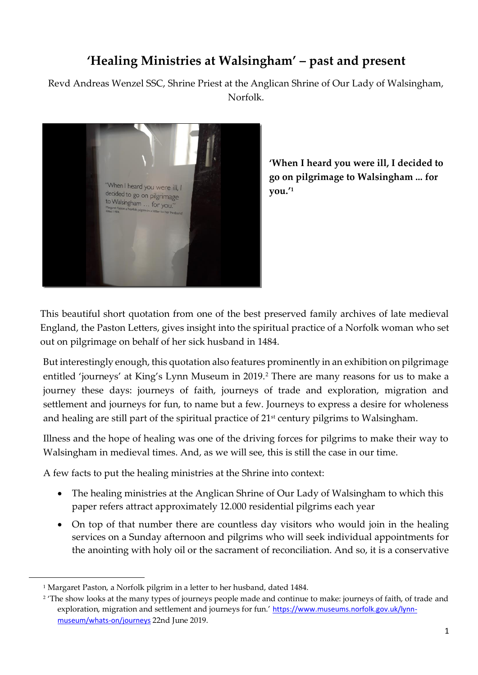# **'Healing Ministries at Walsingham' – past and present**

Revd Andreas Wenzel SSC, Shrine Priest at the Anglican Shrine of Our Lady of Walsingham, Norfolk.



**'When I heard you were ill, I decided to go on pilgrimage to Walsingham ... for you.'<sup>1</sup>**

This beautiful short quotation from one of the best preserved family archives of late medieval England, the Paston Letters, gives insight into the spiritual practice of a Norfolk woman who set out on pilgrimage on behalf of her sick husband in 1484.

But interestingly enough, this quotation also features prominently in an exhibition on pilgrimage entitled 'journeys' at King's Lynn Museum in 2019.<sup>2</sup> There are many reasons for us to make a journey these days: journeys of faith, journeys of trade and exploration, migration and settlement and journeys for fun, to name but a few. Journeys to express a desire for wholeness and healing are still part of the spiritual practice of 21<sup>st</sup> century pilgrims to Walsingham.

Illness and the hope of healing was one of the driving forces for pilgrims to make their way to Walsingham in medieval times. And, as we will see, this is still the case in our time.

A few facts to put the healing ministries at the Shrine into context:

- The healing ministries at the Anglican Shrine of Our Lady of Walsingham to which this paper refers attract approximately 12.000 residential pilgrims each year
- On top of that number there are countless day visitors who would join in the healing services on a Sunday afternoon and pilgrims who will seek individual appointments for the anointing with holy oil or the sacrament of reconciliation. And so, it is a conservative

.

<sup>&</sup>lt;sup>1</sup> Margaret Paston, a Norfolk pilgrim in a letter to her husband, dated 1484.

<sup>2</sup> 'The show looks at the many types of journeys people made and continue to make: journeys of faith, of trade and exploration, migration and settlement and journeys for fun.' [https://www.museums.norfolk.gov.uk/lynn](https://www.museums.norfolk.gov.uk/lynn-museum/whats-on/journeys)[museum/whats-on/journeys](https://www.museums.norfolk.gov.uk/lynn-museum/whats-on/journeys) 22nd June 2019.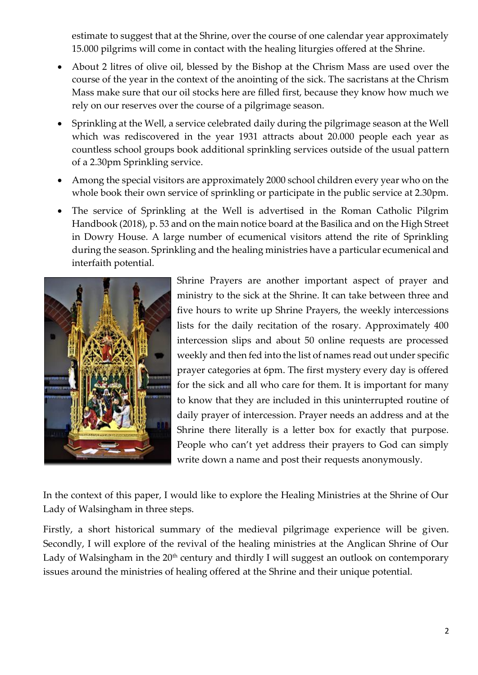estimate to suggest that at the Shrine, over the course of one calendar year approximately 15.000 pilgrims will come in contact with the healing liturgies offered at the Shrine.

- About 2 litres of olive oil, blessed by the Bishop at the Chrism Mass are used over the course of the year in the context of the anointing of the sick. The sacristans at the Chrism Mass make sure that our oil stocks here are filled first, because they know how much we rely on our reserves over the course of a pilgrimage season.
- Sprinkling at the Well, a service celebrated daily during the pilgrimage season at the Well which was rediscovered in the year 1931 attracts about 20.000 people each year as countless school groups book additional sprinkling services outside of the usual pattern of a 2.30pm Sprinkling service.
- Among the special visitors are approximately 2000 school children every year who on the whole book their own service of sprinkling or participate in the public service at 2.30pm.
- The service of Sprinkling at the Well is advertised in the Roman Catholic Pilgrim Handbook (2018), p. 53 and on the main notice board at the Basilica and on the High Street in Dowry House. A large number of ecumenical visitors attend the rite of Sprinkling during the season. Sprinkling and the healing ministries have a particular ecumenical and interfaith potential.



Shrine Prayers are another important aspect of prayer and ministry to the sick at the Shrine. It can take between three and five hours to write up Shrine Prayers, the weekly intercessions lists for the daily recitation of the rosary. Approximately 400 intercession slips and about 50 online requests are processed weekly and then fed into the list of names read out under specific prayer categories at 6pm. The first mystery every day is offered for the sick and all who care for them. It is important for many to know that they are included in this uninterrupted routine of daily prayer of intercession. Prayer needs an address and at the Shrine there literally is a letter box for exactly that purpose. People who can't yet address their prayers to God can simply write down a name and post their requests anonymously.

In the context of this paper, I would like to explore the Healing Ministries at the Shrine of Our Lady of Walsingham in three steps.

Firstly, a short historical summary of the medieval pilgrimage experience will be given. Secondly, I will explore of the revival of the healing ministries at the Anglican Shrine of Our Lady of Walsingham in the  $20<sup>th</sup>$  century and thirdly I will suggest an outlook on contemporary issues around the ministries of healing offered at the Shrine and their unique potential.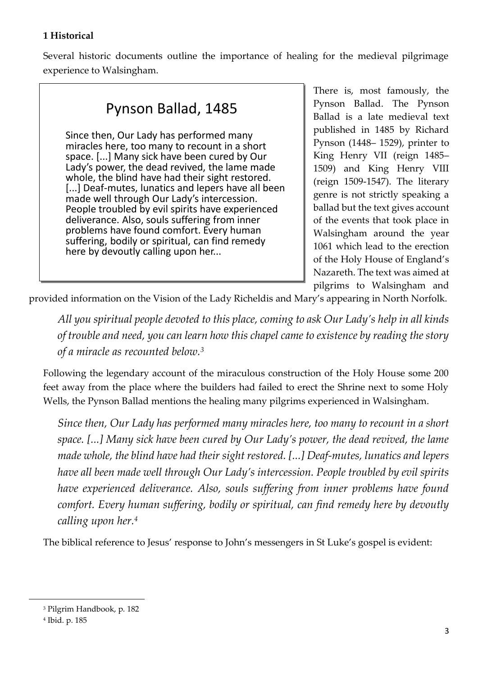#### **1 Historical**

Several historic documents outline the importance of healing for the medieval pilgrimage experience to Walsingham.

# Pynson Ballad, 1485 Pynson Ballad, 1485

Since then, Our Lady has performed many<br>miracles here, too many to recount in a short<br>space. [...] Many sick have been cured by Our<br>Lady's power, the dead revived, the lame made<br>whole, the blind have had their sight restor [...] Deaf-mutes, lunatics and lepers have all been<br>made well through Our Lady's intercession.<br>People troubled by evil spirits have experienced<br>deliverance. Also, souls suffering from inner<br>problems have found comfort. Eve Since then, Our Lady has performed many miracles here, too many to recount in a short space. [...] Many sick have been cured by Our Lady's power, the dead revived, the lame made [...] Deaf-mutes, lunatics and lepers have all been made well through Our Lady's intercession. People troubled by evil spirits have experienced deliverance. Also, souls suffering from inner problems have found comfort. Every human suffering, bodily or spiritual, can find remedy here by devoutly calling upon her...

There is, most famously, the Pynson Ballad. The Pynson Ballad is a late medieval text published in 1485 by Richard Pynson (1448– 1529), printer to King Henry VII (reign 1485– 1509) and King Henry VIII (reign 1509-1547). The literary genre is not strictly speaking a ballad but the text gives account of the events that took place in Walsingham around the year 1061 which lead to the erection of the Holy House of England's Nazareth. The text was aimed at pilgrims to Walsingham and

provided information on the Vision of the Lady Richeldis and Mary's appearing in North Norfolk.

*All you spiritual people devoted to this place, coming to ask Our Lady's help in all kinds of trouble and need, you can learn how this chapel came to existence by reading the story of a miracle as recounted below.<sup>3</sup>*

Following the legendary account of the miraculous construction of the Holy House some 200 feet away from the place where the builders had failed to erect the Shrine next to some Holy Wells, the Pynson Ballad mentions the healing many pilgrims experienced in Walsingham.

*Since then, Our Lady has performed many miracles here, too many to recount in a short space. [...] Many sick have been cured by Our Lady's power, the dead revived, the lame made whole, the blind have had their sight restored. [...] Deaf-mutes, lunatics and lepers have all been made well through Our Lady's intercession. People troubled by evil spirits have experienced deliverance. Also, souls suffering from inner problems have found comfort. Every human suffering, bodily or spiritual, can find remedy here by devoutly calling upon her.<sup>4</sup>*

The biblical reference to Jesus' response to John's messengers in St Luke's gospel is evident:

.

<sup>3</sup> Pilgrim Handbook, p. 182

<sup>4</sup> Ibid. p. 185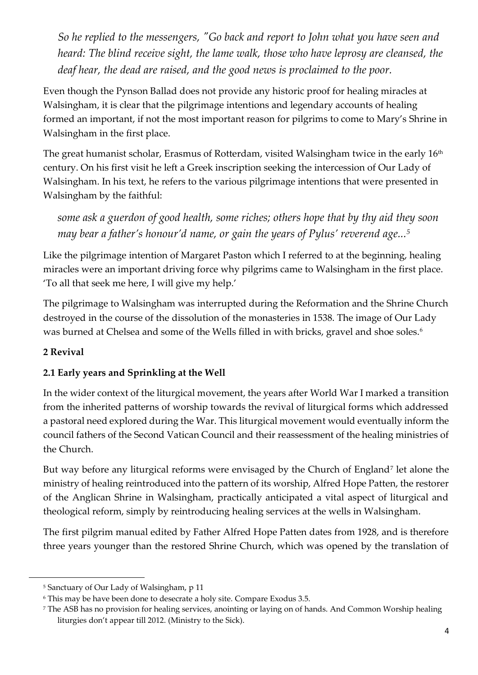*So he replied to the messengers, "Go back and report to John what you have seen and heard: The blind receive sight, the lame walk, those who have leprosy are cleansed, the deaf hear, the dead are raised, and the good news is proclaimed to the poor.*

Even though the Pynson Ballad does not provide any historic proof for healing miracles at Walsingham, it is clear that the pilgrimage intentions and legendary accounts of healing formed an important, if not the most important reason for pilgrims to come to Mary's Shrine in Walsingham in the first place.

The great humanist scholar, Erasmus of Rotterdam, visited Walsingham twice in the early 16<sup>th</sup> century. On his first visit he left a Greek inscription seeking the intercession of Our Lady of Walsingham. In his text, he refers to the various pilgrimage intentions that were presented in Walsingham by the faithful:

*some ask a guerdon of good health, some riches; others hope that by thy aid they soon may bear a father's honour'd name, or gain the years of Pylus' reverend age...<sup>5</sup>*

Like the pilgrimage intention of Margaret Paston which I referred to at the beginning, healing miracles were an important driving force why pilgrims came to Walsingham in the first place. 'To all that seek me here, I will give my help.'

The pilgrimage to Walsingham was interrupted during the Reformation and the Shrine Church destroyed in the course of the dissolution of the monasteries in 1538. The image of Our Lady was burned at Chelsea and some of the Wells filled in with bricks, gravel and shoe soles.<sup>6</sup>

# **2 Revival**

.

# **2.1 Early years and Sprinkling at the Well**

In the wider context of the liturgical movement, the years after World War I marked a transition from the inherited patterns of worship towards the revival of liturgical forms which addressed a pastoral need explored during the War. This liturgical movement would eventually inform the council fathers of the Second Vatican Council and their reassessment of the healing ministries of the Church.

But way before any liturgical reforms were envisaged by the Church of England<sup>7</sup> let alone the ministry of healing reintroduced into the pattern of its worship, Alfred Hope Patten, the restorer of the Anglican Shrine in Walsingham, practically anticipated a vital aspect of liturgical and theological reform, simply by reintroducing healing services at the wells in Walsingham.

The first pilgrim manual edited by Father Alfred Hope Patten dates from 1928, and is therefore three years younger than the restored Shrine Church, which was opened by the translation of

<sup>5</sup> Sanctuary of Our Lady of Walsingham, p 11

<sup>6</sup> This may be have been done to desecrate a holy site. Compare Exodus 3.5.

<sup>7</sup> The ASB has no provision for healing services, anointing or laying on of hands. And Common Worship healing liturgies don't appear till 2012. (Ministry to the Sick).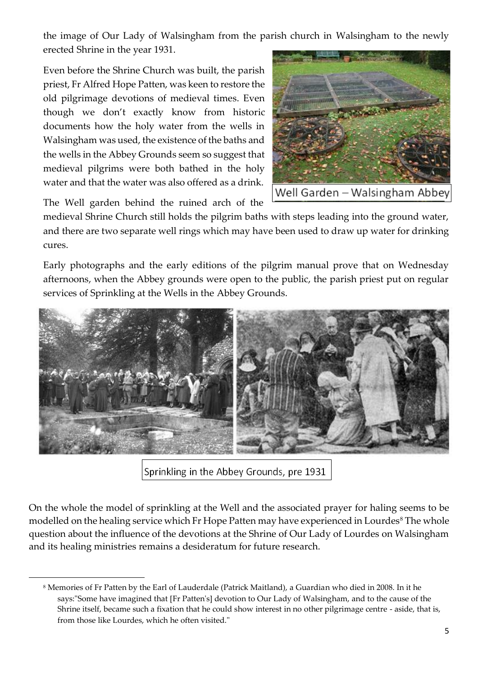the image of Our Lady of Walsingham from the parish church in Walsingham to the newly erected Shrine in the year 1931.

Even before the Shrine Church was built, the parish priest, Fr Alfred Hope Patten, was keen to restore the old pilgrimage devotions of medieval times. Even though we don't exactly know from historic documents how the holy water from the wells in Walsingham was used, the existence of the baths and the wells in the Abbey Grounds seem so suggest that medieval pilgrims were both bathed in the holy water and that the water was also offered as a drink.



The Well garden behind the ruined arch of the

.

medieval Shrine Church still holds the pilgrim baths with steps leading into the ground water, and there are two separate well rings which may have been used to draw up water for drinking cures.

Early photographs and the early editions of the pilgrim manual prove that on Wednesday afternoons, when the Abbey grounds were open to the public, the parish priest put on regular services of Sprinkling at the Wells in the Abbey Grounds.



Sprinkling in the Abbey Grounds, pre 1931

On the whole the model of sprinkling at the Well and the associated prayer for haling seems to be modelled on the healing service which Fr Hope Patten may have experienced in Lourdes<sup>8</sup> The whole question about the influence of the devotions at the Shrine of Our Lady of Lourdes on Walsingham and its healing ministries remains a desideratum for future research.

<sup>8</sup> Memories of Fr Patten by the Earl of Lauderdale (Patrick Maitland), a Guardian who died in 2008. In it he says:"Some have imagined that [Fr Patten's] devotion to Our Lady of Walsingham, and to the cause of the Shrine itself, became such a fixation that he could show interest in no other pilgrimage centre - aside, that is, from those like Lourdes, which he often visited."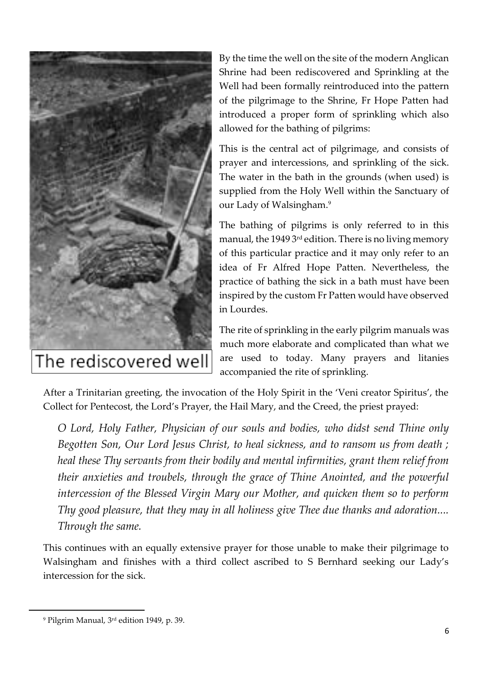

The rediscovered well

By the time the well on the site of the modern Anglican Shrine had been rediscovered and Sprinkling at the Well had been formally reintroduced into the pattern of the pilgrimage to the Shrine, Fr Hope Patten had introduced a proper form of sprinkling which also allowed for the bathing of pilgrims:

This is the central act of pilgrimage, and consists of prayer and intercessions, and sprinkling of the sick. The water in the bath in the grounds (when used) is supplied from the Holy Well within the Sanctuary of our Lady of Walsingham.<sup>9</sup>

The bathing of pilgrims is only referred to in this manual, the 1949  $3<sup>rd</sup>$  edition. There is no living memory of this particular practice and it may only refer to an idea of Fr Alfred Hope Patten. Nevertheless, the practice of bathing the sick in a bath must have been inspired by the custom Fr Patten would have observed in Lourdes.

The rite of sprinkling in the early pilgrim manuals was much more elaborate and complicated than what we are used to today. Many prayers and litanies accompanied the rite of sprinkling.

After a Trinitarian greeting, the invocation of the Holy Spirit in the 'Veni creator Spiritus', the Collect for Pentecost, the Lord's Prayer, the Hail Mary, and the Creed, the priest prayed:

*O Lord, Holy Father, Physician of our souls and bodies, who didst send Thine only Begotten Son, Our Lord Jesus Christ, to heal sickness, and to ransom us from death ; heal these Thy servants from their bodily and mental infirmities, grant them relief from their anxieties and troubels, through the grace of Thine Anointed, and the powerful intercession of the Blessed Virgin Mary our Mother, and quicken them so to perform Thy good pleasure, that they may in all holiness give Thee due thanks and adoration.... Through the same.*

This continues with an equally extensive prayer for those unable to make their pilgrimage to Walsingham and finishes with a third collect ascribed to S Bernhard seeking our Lady's intercession for the sick.

1

<sup>9</sup> Pilgrim Manual, 3rd edition 1949, p. 39.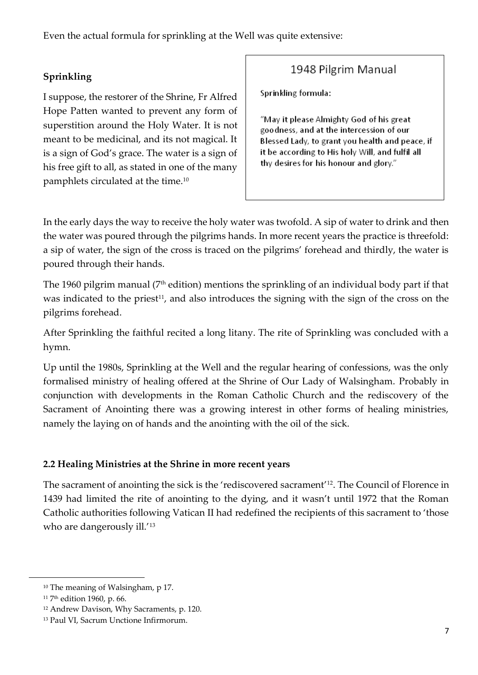Even the actual formula for sprinkling at the Well was quite extensive:

# **Sprinkling**

I suppose, the restorer of the Shrine, Fr Alfred Hope Patten wanted to prevent any form of superstition around the Holy Water. It is not meant to be medicinal, and its not magical. It is a sign of God's grace. The water is a sign of his free gift to all, as stated in one of the many pamphlets circulated at the time.<sup>10</sup>

# 1948 Pilgrim Manual

Sprinkling formula:

"May it please Almighty God of his great goodness, and at the intercession of our Blessed Lady, to grant you health and peace, if it be according to His holy Will, and fulfil all thy desires for his honour and glory."

In the early days the way to receive the holy water was twofold. A sip of water to drink and then the water was poured through the pilgrims hands. In more recent years the practice is threefold: a sip of water, the sign of the cross is traced on the pilgrims' forehead and thirdly, the water is poured through their hands.

The 1960 pilgrim manual (7<sup>th</sup> edition) mentions the sprinkling of an individual body part if that was indicated to the priest<sup>11</sup>, and also introduces the signing with the sign of the cross on the pilgrims forehead.

After Sprinkling the faithful recited a long litany. The rite of Sprinkling was concluded with a hymn.

Up until the 1980s, Sprinkling at the Well and the regular hearing of confessions, was the only formalised ministry of healing offered at the Shrine of Our Lady of Walsingham. Probably in conjunction with developments in the Roman Catholic Church and the rediscovery of the Sacrament of Anointing there was a growing interest in other forms of healing ministries, namely the laying on of hands and the anointing with the oil of the sick.

#### **2.2 Healing Ministries at the Shrine in more recent years**

The sacrament of anointing the sick is the 'rediscovered sacrament'<sup>12</sup> . The Council of Florence in 1439 had limited the rite of anointing to the dying, and it wasn't until 1972 that the Roman Catholic authorities following Vatican II had redefined the recipients of this sacrament to 'those who are dangerously ill.<sup>'13</sup>

.

<sup>&</sup>lt;sup>10</sup> The meaning of Walsingham, p 17.

<sup>&</sup>lt;sup>11</sup> 7<sup>th</sup> edition 1960, p. 66.

<sup>12</sup> Andrew Davison, Why Sacraments, p. 120.

<sup>13</sup> Paul VI, Sacrum Unctione Infirmorum.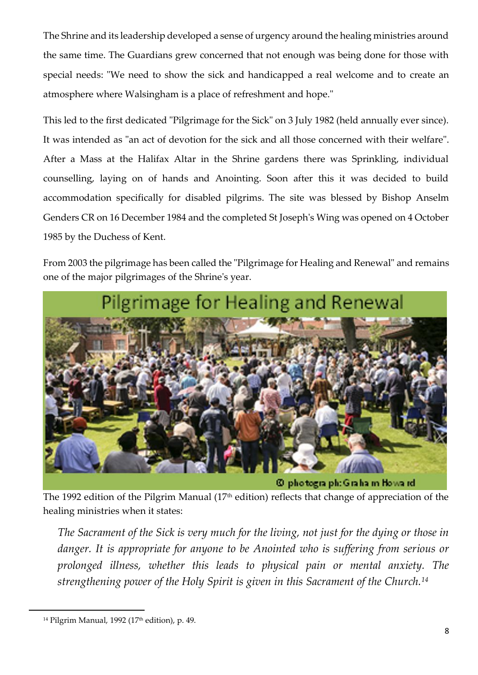The Shrine and its leadership developed a sense of urgency around the healing ministries around the same time. The Guardians grew concerned that not enough was being done for those with special needs: "We need to show the sick and handicapped a real welcome and to create an atmosphere where Walsingham is a place of refreshment and hope."

This led to the first dedicated "Pilgrimage for the Sick" on 3 July 1982 (held annually ever since). It was intended as "an act of devotion for the sick and all those concerned with their welfare". After a Mass at the Halifax Altar in the Shrine gardens there was Sprinkling, individual counselling, laying on of hands and Anointing. Soon after this it was decided to build accommodation specifically for disabled pilgrims. The site was blessed by Bishop Anselm Genders CR on 16 December 1984 and the completed St Joseph's Wing was opened on 4 October 1985 by the Duchess of Kent.

From 2003 the pilgrimage has been called the "Pilgrimage for Healing and Renewal" and remains one of the major pilgrimages of the Shrine's year.



The 1992 edition of the Pilgrim Manual ( $17<sup>th</sup>$  edition) reflects that change of appreciation of the healing ministries when it states:

*The Sacrament of the Sick is very much for the living, not just for the dying or those in danger. It is appropriate for anyone to be Anointed who is suffering from serious or prolonged illness, whether this leads to physical pain or mental anxiety. The strengthening power of the Holy Spirit is given in this Sacrament of the Church.<sup>14</sup>*

1

<sup>&</sup>lt;sup>14</sup> Pilgrim Manual, 1992 (17<sup>th</sup> edition), p. 49.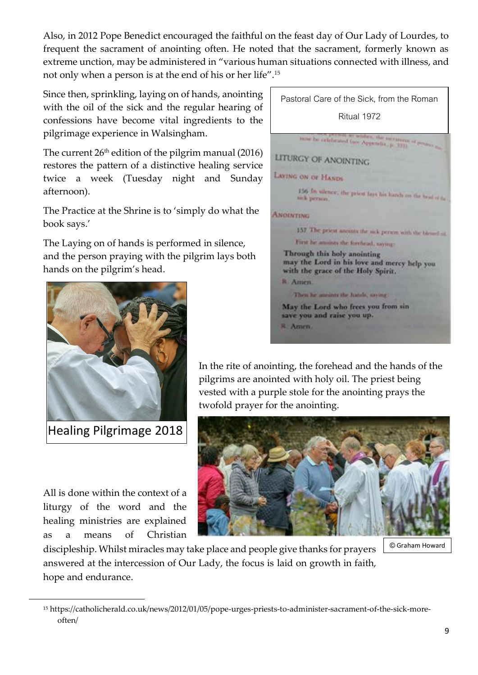Also, in 2012 Pope Benedict encouraged the faithful on the feast day of Our Lady of Lourdes, to frequent the sacrament of anointing often. He noted that the sacrament, formerly known as extreme unction, may be administered in "various human situations connected with illness, and not only when a person is at the end of his or her life".<sup>15</sup>

Since then, sprinkling, laying on of hands, anointing with the oil of the sick and the regular hearing of confessions have become vital ingredients to the pilgrimage experience in Walsingham.

The current  $26<sup>th</sup>$  edition of the pilgrim manual (2016) restores the pattern of a distinctive healing service twice a week (Tuesday night and Sunday afternoon).

The Practice at the Shrine is to 'simply do what the book says.'

The Laying on of hands is performed in silence, and the person praying with the pilgrim lays both head an the pilgrim's bood hands on the pilgrim's head.



Healing Pilgrimage 2018

All is done within the context of a liturgy of the word and the healing ministries are explained as a means of Christian

.



In the rite of anointing, the forehead and the hands of the pilgrims are anointed with holy oil. The priest being vested with a purple stole for the anointing prays the twofold prayer for the anointing.



© Graham Howard

discipleship. Whilst miracles may take place and people give thanks for prayers answered at the intercession of Our Lady, the focus is laid on growth in faith, hope and endurance.

<sup>15</sup> https://catholicherald.co.uk/news/2012/01/05/pope-urges-priests-to-administer-sacrament-of-the-sick-moreoften/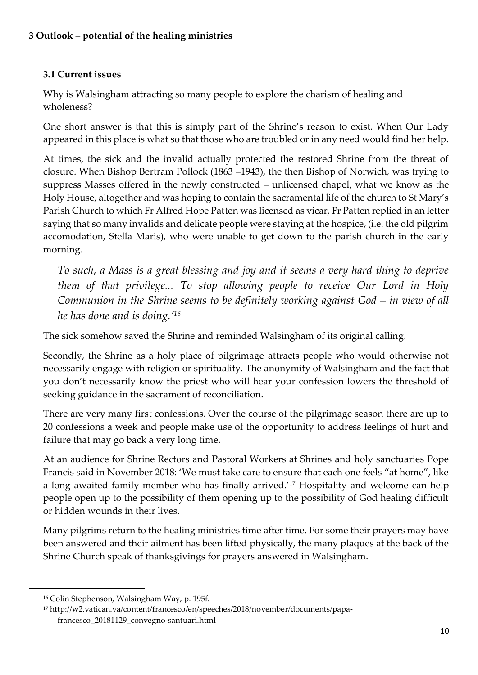#### **3.1 Current issues**

Why is Walsingham attracting so many people to explore the charism of healing and wholeness?

One short answer is that this is simply part of the Shrine's reason to exist. When Our Lady appeared in this place is what so that those who are troubled or in any need would find her help.

At times, the sick and the invalid actually protected the restored Shrine from the threat of closure. When Bishop Bertram Pollock (1863 –1943), the then Bishop of Norwich, was trying to suppress Masses offered in the newly constructed – unlicensed chapel, what we know as the Holy House, altogether and was hoping to contain the sacramental life of the church to St Mary's Parish Church to which Fr Alfred Hope Patten was licensed as vicar, Fr Patten replied in an letter saying that so many invalids and delicate people were staying at the hospice, (i.e. the old pilgrim accomodation, Stella Maris), who were unable to get down to the parish church in the early morning.

*To such, a Mass is a great blessing and joy and it seems a very hard thing to deprive them of that privilege... To stop allowing people to receive Our Lord in Holy Communion in the Shrine seems to be definitely working against God – in view of all he has done and is doing.'<sup>16</sup>*

The sick somehow saved the Shrine and reminded Walsingham of its original calling.

Secondly, the Shrine as a holy place of pilgrimage attracts people who would otherwise not necessarily engage with religion or spirituality. The anonymity of Walsingham and the fact that you don't necessarily know the priest who will hear your confession lowers the threshold of seeking guidance in the sacrament of reconciliation.

There are very many first confessions. Over the course of the pilgrimage season there are up to 20 confessions a week and people make use of the opportunity to address feelings of hurt and failure that may go back a very long time.

At an audience for Shrine Rectors and Pastoral Workers at Shrines and holy sanctuaries Pope Francis said in November 2018: 'We must take care to ensure that each one feels "at home", like a long awaited family member who has finally arrived.'<sup>17</sup> Hospitality and welcome can help people open up to the possibility of them opening up to the possibility of God healing difficult or hidden wounds in their lives.

Many pilgrims return to the healing ministries time after time. For some their prayers may have been answered and their ailment has been lifted physically, the many plaques at the back of the Shrine Church speak of thanksgivings for prayers answered in Walsingham.

1

<sup>16</sup> Colin Stephenson, Walsingham Way, p. 195f.

<sup>17</sup> http://w2.vatican.va/content/francesco/en/speeches/2018/november/documents/papafrancesco\_20181129\_convegno-santuari.html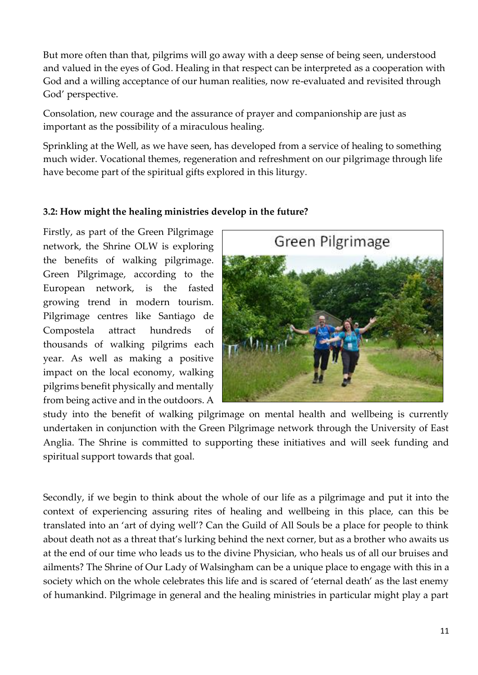But more often than that, pilgrims will go away with a deep sense of being seen, understood and valued in the eyes of God. Healing in that respect can be interpreted as a cooperation with God and a willing acceptance of our human realities, now re-evaluated and revisited through God' perspective.

Consolation, new courage and the assurance of prayer and companionship are just as important as the possibility of a miraculous healing.

Sprinkling at the Well, as we have seen, has developed from a service of healing to something much wider. Vocational themes, regeneration and refreshment on our pilgrimage through life have become part of the spiritual gifts explored in this liturgy.

#### **3.2: How might the healing ministries develop in the future?**

Firstly, as part of the Green Pilgrimage network, the Shrine OLW is exploring the benefits of walking pilgrimage. Green Pilgrimage, according to the European network, is the fasted growing trend in modern tourism. Pilgrimage centres like Santiago de Compostela attract hundreds of thousands of walking pilgrims each year. As well as making a positive impact on the local economy, walking pilgrims benefit physically and mentally from being active and in the outdoors. A



study into the benefit of walking pilgrimage on mental health and wellbeing is currently undertaken in conjunction with the Green Pilgrimage network through the University of East Anglia. The Shrine is committed to supporting these initiatives and will seek funding and spiritual support towards that goal.

Secondly, if we begin to think about the whole of our life as a pilgrimage and put it into the context of experiencing assuring rites of healing and wellbeing in this place, can this be translated into an 'art of dying well'? Can the Guild of All Souls be a place for people to think about death not as a threat that's lurking behind the next corner, but as a brother who awaits us at the end of our time who leads us to the divine Physician, who heals us of all our bruises and ailments? The Shrine of Our Lady of Walsingham can be a unique place to engage with this in a society which on the whole celebrates this life and is scared of 'eternal death' as the last enemy of humankind. Pilgrimage in general and the healing ministries in particular might play a part